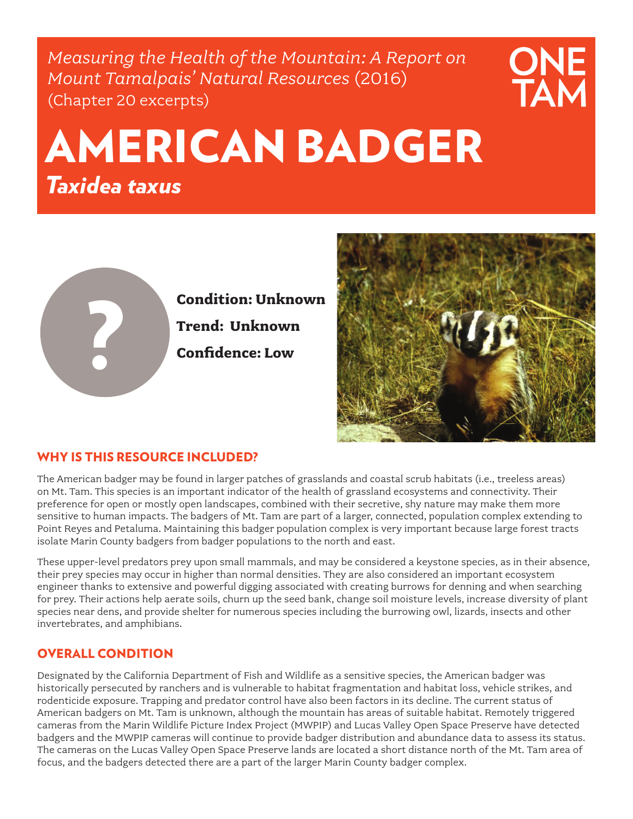*Measuring the Health of the Mountain: A Report on Mount Tamalpais' Natural Resources* (2016) (Chapter 20 excerpts)



# AMERICAN BADGER *Taxidea taxus*



**Condition: Unknown Trend: Unknown Confidence: Low**



## WHY IS THIS RESOURCE INCLUDED?

The American badger may be found in larger patches of grasslands and coastal scrub habitats (i.e., treeless areas) on Mt. Tam. This species is an important indicator of the health of grassland ecosystems and connectivity. Their preference for open or mostly open landscapes, combined with their secretive, shy nature may make them more sensitive to human impacts. The badgers of Mt. Tam are part of a larger, connected, population complex extending to Point Reyes and Petaluma. Maintaining this badger population complex is very important because large forest tracts isolate Marin County badgers from badger populations to the north and east.

These upper-level predators prey upon small mammals, and may be considered a keystone species, as in their absence, their prey species may occur in higher than normal densities. They are also considered an important ecosystem engineer thanks to extensive and powerful digging associated with creating burrows for denning and when searching for prey. Their actions help aerate soils, churn up the seed bank, change soil moisture levels, increase diversity of plant species near dens, and provide shelter for numerous species including the burrowing owl, lizards, insects and other invertebrates, and amphibians.

## OVERALL CONDITION

Designated by the California Department of Fish and Wildlife as a sensitive species, the American badger was historically persecuted by ranchers and is vulnerable to habitat fragmentation and habitat loss, vehicle strikes, and rodenticide exposure. Trapping and predator control have also been factors in its decline. The current status of American badgers on Mt. Tam is unknown, although the mountain has areas of suitable habitat. Remotely triggered cameras from the Marin Wildlife Picture Index Project (MWPIP) and Lucas Valley Open Space Preserve have detected badgers and the MWPIP cameras will continue to provide badger distribution and abundance data to assess its status. The cameras on the Lucas Valley Open Space Preserve lands are located a short distance north of the Mt. Tam area of focus, and the badgers detected there are a part of the larger Marin County badger complex.